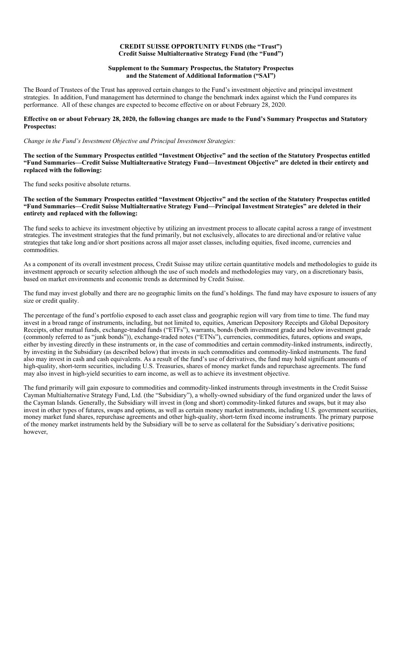### **CREDIT SUISSE OPPORTUNITY FUNDS (the "Trust") Credit Suisse Multialternative Strategy Fund (the "Fund")**

# **Supplement to the Summary Prospectus, the Statutory Prospectus and the Statement of Additional Information ("SAI")**

The Board of Trustees of the Trust has approved certain changes to the Fund's investment objective and principal investment strategies. In addition, Fund management has determined to change the benchmark index against which the Fund compares its performance. All of these changes are expected to become effective on or about February 28, 2020.

# **Effective on or about February 28, 2020, the following changes are made to the Fund's Summary Prospectus and Statutory Prospectus:**

### *Change in the Fund's Investment Objective and Principal Investment Strategies:*

**The section of the Summary Prospectus entitled "Investment Objective" and the section of the Statutory Prospectus entitled "Fund Summaries—Credit Suisse Multialternative Strategy Fund—Investment Objective" are deleted in their entirety and replaced with the following:**

The fund seeks positive absolute returns.

**The section of the Summary Prospectus entitled "Investment Objective" and the section of the Statutory Prospectus entitled "Fund Summaries—Credit Suisse Multialternative Strategy Fund—Principal Investment Strategies" are deleted in their entirety and replaced with the following:**

The fund seeks to achieve its investment objective by utilizing an investment process to allocate capital across a range of investment strategies. The investment strategies that the fund primarily, but not exclusively, allocates to are directional and/or relative value strategies that take long and/or short positions across all major asset classes, including equities, fixed income, currencies and commodities.

As a component of its overall investment process, Credit Suisse may utilize certain quantitative models and methodologies to guide its investment approach or security selection although the use of such models and methodologies may vary, on a discretionary basis, based on market environments and economic trends as determined by Credit Suisse.

The fund may invest globally and there are no geographic limits on the fund's holdings. The fund may have exposure to issuers of any size or credit quality.

The percentage of the fund's portfolio exposed to each asset class and geographic region will vary from time to time. The fund may invest in a broad range of instruments, including, but not limited to, equities, American Depository Receipts and Global Depository Receipts, other mutual funds, exchange-traded funds ("ETFs"), warrants, bonds (both investment grade and below investment grade (commonly referred to as "junk bonds")), exchange-traded notes ("ETNs"), currencies, commodities, futures, options and swaps, either by investing directly in these instruments or, in the case of commodities and certain commodity-linked instruments, indirectly, by investing in the Subsidiary (as described below) that invests in such commodities and commodity-linked instruments. The fund also may invest in cash and cash equivalents. As a result of the fund's use of derivatives, the fund may hold significant amounts of high-quality, short-term securities, including U.S. Treasuries, shares of money market funds and repurchase agreements. The fund may also invest in high-yield securities to earn income, as well as to achieve its investment objective.

The fund primarily will gain exposure to commodities and commodity-linked instruments through investments in the Credit Suisse Cayman Multialternative Strategy Fund, Ltd. (the "Subsidiary"), a wholly-owned subsidiary of the fund organized under the laws of the Cayman Islands. Generally, the Subsidiary will invest in (long and short) commodity-linked futures and swaps, but it may also invest in other types of futures, swaps and options, as well as certain money market instruments, including U.S. government securities, money market fund shares, repurchase agreements and other high-quality, short-term fixed income instruments. The primary purpose of the money market instruments held by the Subsidiary will be to serve as collateral for the Subsidiary's derivative positions; however,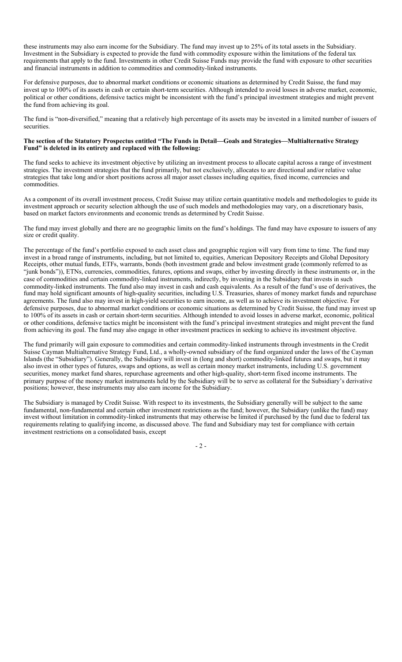these instruments may also earn income for the Subsidiary. The fund may invest up to 25% of its total assets in the Subsidiary. Investment in the Subsidiary is expected to provide the fund with commodity exposure within the limitations of the federal tax requirements that apply to the fund. Investments in other Credit Suisse Funds may provide the fund with exposure to other securities and financial instruments in addition to commodities and commodity-linked instruments.

For defensive purposes, due to abnormal market conditions or economic situations as determined by Credit Suisse, the fund may invest up to 100% of its assets in cash or certain short-term securities. Although intended to avoid losses in adverse market, economic, political or other conditions, defensive tactics might be inconsistent with the fund's principal investment strategies and might prevent the fund from achieving its goal.

The fund is "non-diversified," meaning that a relatively high percentage of its assets may be invested in a limited number of issuers of securities.

# **The section of the Statutory Prospectus entitled "The Funds in Detail—Goals and Strategies—Multialternative Strategy Fund" is deleted in its entirety and replaced with the following:**

The fund seeks to achieve its investment objective by utilizing an investment process to allocate capital across a range of investment strategies. The investment strategies that the fund primarily, but not exclusively, allocates to are directional and/or relative value strategies that take long and/or short positions across all major asset classes including equities, fixed income, currencies and commodities.

As a component of its overall investment process, Credit Suisse may utilize certain quantitative models and methodologies to guide its investment approach or security selection although the use of such models and methodologies may vary, on a discretionary basis, based on market factors environments and economic trends as determined by Credit Suisse.

The fund may invest globally and there are no geographic limits on the fund's holdings. The fund may have exposure to issuers of any size or credit quality.

The percentage of the fund's portfolio exposed to each asset class and geographic region will vary from time to time. The fund may invest in a broad range of instruments, including, but not limited to, equities, American Depository Receipts and Global Depository Receipts, other mutual funds, ETFs, warrants, bonds (both investment grade and below investment grade (commonly referred to as "junk bonds")), ETNs, currencies, commodities, futures, options and swaps, either by investing directly in these instruments or, in the case of commodities and certain commodity-linked instruments, indirectly, by investing in the Subsidiary that invests in such commodity-linked instruments. The fund also may invest in cash and cash equivalents. As a result of the fund's use of derivatives, the fund may hold significant amounts of high-quality securities, including U.S. Treasuries, shares of money market funds and repurchase agreements. The fund also may invest in high-yield securities to earn income, as well as to achieve its investment objective. For defensive purposes, due to abnormal market conditions or economic situations as determined by Credit Suisse, the fund may invest up to 100% of its assets in cash or certain short-term securities. Although intended to avoid losses in adverse market, economic, political or other conditions, defensive tactics might be inconsistent with the fund's principal investment strategies and might prevent the fund from achieving its goal. The fund may also engage in other investment practices in seeking to achieve its investment objective.

The fund primarily will gain exposure to commodities and certain commodity-linked instruments through investments in the Credit Suisse Cayman Multialternative Strategy Fund, Ltd., a wholly-owned subsidiary of the fund organized under the laws of the Cayman Islands (the "Subsidiary"). Generally, the Subsidiary will invest in (long and short) commodity-linked futures and swaps, but it may also invest in other types of futures, swaps and options, as well as certain money market instruments, including U.S. government securities, money market fund shares, repurchase agreements and other high-quality, short-term fixed income instruments. The primary purpose of the money market instruments held by the Subsidiary will be to serve as collateral for the Subsidiary's derivative positions; however, these instruments may also earn income for the Subsidiary.

The Subsidiary is managed by Credit Suisse. With respect to its investments, the Subsidiary generally will be subject to the same fundamental, non-fundamental and certain other investment restrictions as the fund; however, the Subsidiary (unlike the fund) may invest without limitation in commodity-linked instruments that may otherwise be limited if purchased by the fund due to federal tax requirements relating to qualifying income, as discussed above. The fund and Subsidiary may test for compliance with certain investment restrictions on a consolidated basis, except

- 2 -